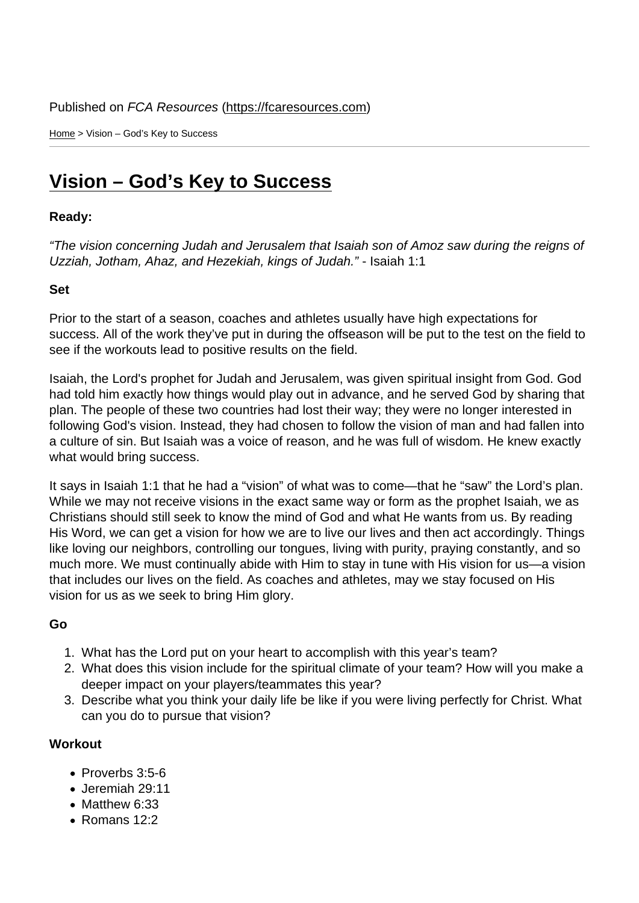Home > Vision – God's Key to Success

## [Vis](https://fcaresources.com/)ion – God's Key to Success

Ready:

["The vision concerning Judah and Jerusalem that](https://fcaresources.com/devotional/vision-–-god’s-key-success) Isaiah son of Amoz saw during the reigns of Uzziah, Jotham, Ahaz, and Hezekiah, kings of Judah." - Isaiah 1:1

Set

Prior to the start of a season, coaches and athletes usually have high expectations for success. All of the work they've put in during the offseason will be put to the test on the field to see if the workouts lead to positive results on the field.

Isaiah, the Lord's prophet for Judah and Jerusalem, was given spiritual insight from God. God had told him exactly how things would play out in advance, and he served God by sharing that plan. The people of these two countries had lost their way; they were no longer interested in following God's vision. Instead, they had chosen to follow the vision of man and had fallen into a culture of sin. But Isaiah was a voice of reason, and he was full of wisdom. He knew exactly what would bring success.

It says in Isaiah 1:1 that he had a "vision" of what was to come—that he "saw" the Lord's plan. While we may not receive visions in the exact same way or form as the prophet Isaiah, we as Christians should still seek to know the mind of God and what He wants from us. By reading His Word, we can get a vision for how we are to live our lives and then act accordingly. Things like loving our neighbors, controlling our tongues, living with purity, praying constantly, and so much more. We must continually abide with Him to stay in tune with His vision for us—a vision that includes our lives on the field. As coaches and athletes, may we stay focused on His vision for us as we seek to bring Him glory.

Go

- 1. What has the Lord put on your heart to accomplish with this year's team?
- 2. What does this vision include for the spiritual climate of your team? How will you make a deeper impact on your players/teammates this year?
- 3. Describe what you think your daily life be like if you were living perfectly for Christ. What can you do to pursue that vision?

**Workout** 

- Proverbs 3:5-6
- Jeremiah 29:11
- Matthew 6:33
- Romans 12:2